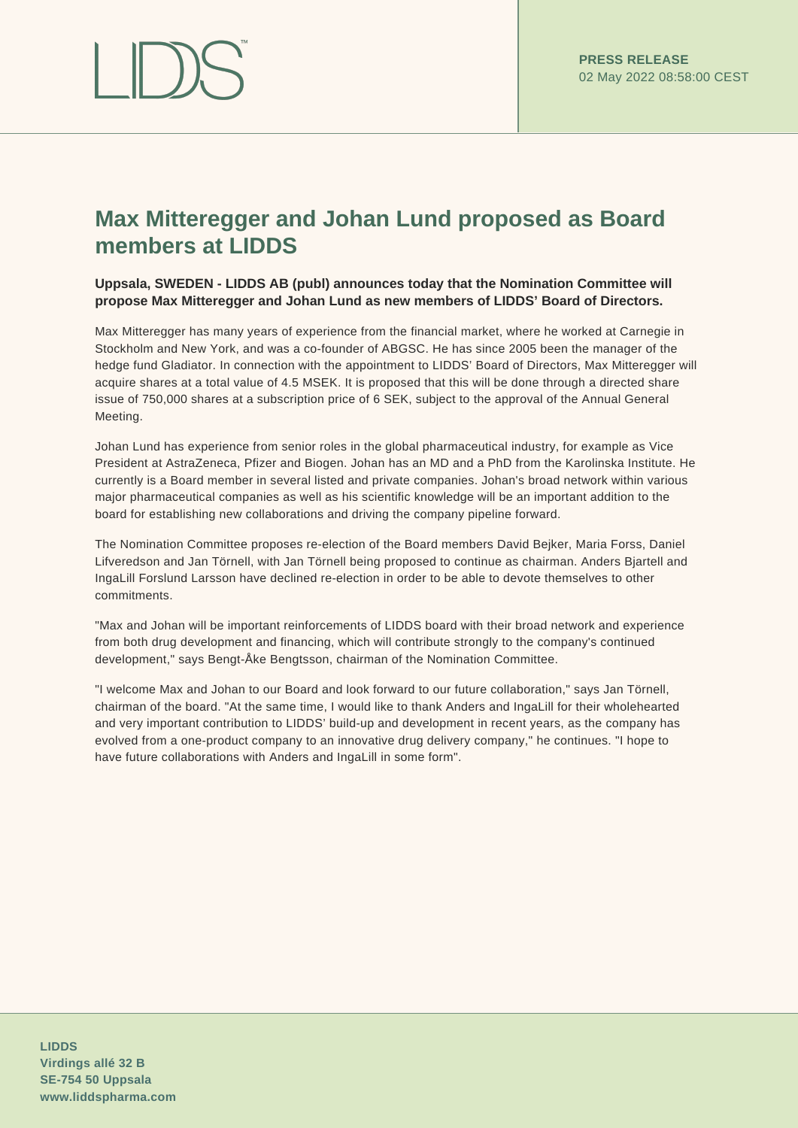# **Max Mitteregger and Johan Lund proposed as Board members at LIDDS**

# **Uppsala, SWEDEN - LIDDS AB (publ) announces today that the Nomination Committee will propose Max Mitteregger and Johan Lund as new members of LIDDS' Board of Directors.**

Max Mitteregger has many years of experience from the financial market, where he worked at Carnegie in Stockholm and New York, and was a co-founder of ABGSC. He has since 2005 been the manager of the hedge fund Gladiator. In connection with the appointment to LIDDS' Board of Directors, Max Mitteregger will acquire shares at a total value of 4.5 MSEK. It is proposed that this will be done through a directed share issue of 750,000 shares at a subscription price of 6 SEK, subject to the approval of the Annual General Meeting.

Johan Lund has experience from senior roles in the global pharmaceutical industry, for example as Vice President at AstraZeneca, Pfizer and Biogen. Johan has an MD and a PhD from the Karolinska Institute. He currently is a Board member in several listed and private companies. Johan's broad network within various major pharmaceutical companies as well as his scientific knowledge will be an important addition to the board for establishing new collaborations and driving the company pipeline forward.

The Nomination Committee proposes re-election of the Board members David Bejker, Maria Forss, Daniel Lifveredson and Jan Törnell, with Jan Törnell being proposed to continue as chairman. Anders Bjartell and IngaLill Forslund Larsson have declined re-election in order to be able to devote themselves to other commitments.

"Max and Johan will be important reinforcements of LIDDS board with their broad network and experience from both drug development and financing, which will contribute strongly to the company's continued development," says Bengt-Åke Bengtsson, chairman of the Nomination Committee.

"I welcome Max and Johan to our Board and look forward to our future collaboration," says Jan Törnell, chairman of the board. "At the same time, I would like to thank Anders and IngaLill for their wholehearted and very important contribution to LIDDS' build-up and development in recent years, as the company has evolved from a one-product company to an innovative drug delivery company," he continues. "I hope to have future collaborations with Anders and IngaLill in some form".